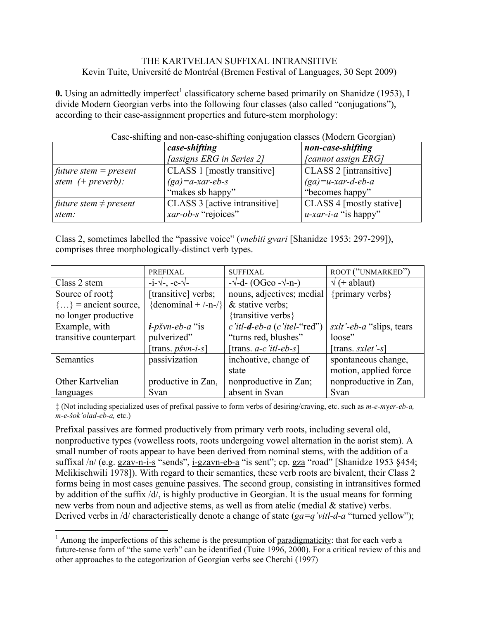### THE KARTVELIAN SUFFIXAL INTRANSITIVE Kevin Tuite, Université de Montréal (Bremen Festival of Languages, 30 Sept 2009)

**0.** Using an admittedly imperfect<sup>1</sup> classificatory scheme based primarily on Shanidze (1953), I divide Modern Georgian verbs into the following four classes (also called "conjugations"), according to their case-assignment properties and future-stem morphology:

|                                              | case-shifting                    | non-case-shifting          |
|----------------------------------------------|----------------------------------|----------------------------|
|                                              | <i>[assigns ERG in Series 2]</i> | <i>[cannot assign ERG]</i> |
| <i>future stem = present</i>                 | CLASS 1 [mostly transitive]      | CLASS 2 [intransitive]     |
| stem $(+$ preverb):                          | $(ga)=a$ -xar-eb-s               | $(ga)=u$ -xar-d-eb-a       |
|                                              | "makes sb happy"                 | "becomes happy"            |
| <i>future stem <math>\neq</math> present</i> | CLASS 3 [active intransitive]    | CLASS 4 [mostly stative]   |
| stem:                                        | xar-ob-s "rejoices"              | $u$ -xar-i-a "is happy"    |

# Case-shifting and non-case-shifting conjugation classes (Modern Georgian)

Class 2, sometimes labelled the "passive voice" (*vnebiti gvari* [Shanidze 1953: 297-299]), comprises three morphologically-distinct verb types.

|                          | <b>PREFIXAL</b>                | <b>SUFFIXAL</b>                       | ROOT ("UNMARKED")                |
|--------------------------|--------------------------------|---------------------------------------|----------------------------------|
| Class 2 stem             | $-i-\sqrt{-1}$ -e- $\sqrt{-1}$ | $-\sqrt{-d}$ - (OGeo - $\sqrt{-n}$ -) | $\sqrt{}$ (+ ablaut)             |
| Source of root:          | [transitive] verbs;            | nouns, adjectives; medial             | {primary verbs}                  |
| $\{\}$ = ancient source, | {denominal + $\{-n-\}$ }       | $&$ stative verbs;                    |                                  |
| no longer productive     |                                | {transitive verbs}                    |                                  |
| Example, with            | $i$ -pšvn-eb-a "is             | $c$ 'itl-d-eb-a (c'itel-"red")        | <i>sxlt'-eb-a</i> "slips, tears" |
| transitive counterpart   | pulverized"                    | "turns red, blushes"                  | loose"                           |
|                          | [trans. $p\check{s}vn-i-s$ ]   | [trans. $a-c$ <i>itl-eb-s</i> ]       | [trans. $s$ <i>xlet</i> '-s]     |
| Semantics                | passivization                  | inchoative, change of                 | spontaneous change,              |
|                          |                                | state                                 | motion, applied force            |
| Other Kartvelian         | productive in Zan,             | nonproductive in Zan;                 | nonproductive in Zan,            |
| languages                | Svan                           | absent in Svan                        | Svan                             |

‡ (Not including specialized uses of prefixal passive to form verbs of desiring/craving, etc. such as *m-e-mɣer-eb-a, m-e-šok'olad-eb-a,* etc.)

Prefixal passives are formed productively from primary verb roots, including several old, nonproductive types (vowelless roots, roots undergoing vowel alternation in the aorist stem). A small number of roots appear to have been derived from nominal stems, with the addition of a suffixal /n/ (e.g. gzav-n-i-s "sends", i-gzavn-eb-a "is sent"; cp. gza "road" [Shanidze 1953 §454; Melikischwili 1978]). With regard to their semantics, these verb roots are bivalent, their Class 2 forms being in most cases genuine passives. The second group, consisting in intransitives formed by addition of the suffix /d/, is highly productive in Georgian. It is the usual means for forming new verbs from noun and adjective stems, as well as from atelic (medial & stative) verbs. Derived verbs in /d/ characteristically denote a change of state (*ga=q'vitl-d-a* "turned yellow");

 $<sup>1</sup>$  Among the imperfections of this scheme is the presumption of paradigmaticity: that for each verb a</sup> future-tense form of "the same verb" can be identified (Tuite 1996, 2000). For a critical review of this and other approaches to the categorization of Georgian verbs see Cherchi (1997)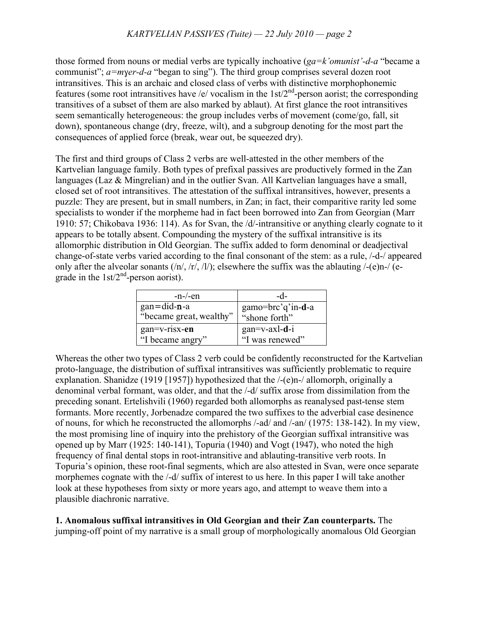those formed from nouns or medial verbs are typically inchoative (*ga=k'omunist'-d-a* "became a communist"; *a=mɣer-d-a* "began to sing"). The third group comprises several dozen root intransitives. This is an archaic and closed class of verbs with distinctive morphophonemic features (some root intransitives have /e/ vocalism in the  $1st/2<sup>nd</sup>$ -person aorist; the corresponding transitives of a subset of them are also marked by ablaut). At first glance the root intransitives seem semantically heterogeneous: the group includes verbs of movement (come/go, fall, sit down), spontaneous change (dry, freeze, wilt), and a subgroup denoting for the most part the consequences of applied force (break, wear out, be squeezed dry).

The first and third groups of Class 2 verbs are well-attested in the other members of the Kartvelian language family. Both types of prefixal passives are productively formed in the Zan languages (Laz & Mingrelian) and in the outlier Svan. All Kartvelian languages have a small, closed set of root intransitives. The attestation of the suffixal intransitives, however, presents a puzzle: They are present, but in small numbers, in Zan; in fact, their comparitive rarity led some specialists to wonder if the morpheme had in fact been borrowed into Zan from Georgian (Marr 1910: 57; Chikobava 1936: 114). As for Svan, the /d/-intransitive or anything clearly cognate to it appears to be totally absent. Compounding the mystery of the suffixal intransitive is its allomorphic distribution in Old Georgian. The suffix added to form denominal or deadjectival change-of-state verbs varied according to the final consonant of the stem: as a rule, /-d-/ appeared only after the alveolar sonants  $(n/$ ,  $(r/$ ,  $n/$ ); elsewhere the suffix was the ablauting  $/-(e)$ n- $/$  (egrade in the  $1 \text{st}/2^{\text{nd}}$ -person aorist).

| $-n$ -/-en              | -d-               |
|-------------------------|-------------------|
| $gan = did-n-a$         | gamo=brc'q'in-d-a |
| "became great, wealthy" | "shone forth"     |
| gan=v-risx-en           | $gan=v-axl-d-i$   |
| "I became angry"        | "I was renewed"   |

Whereas the other two types of Class 2 verb could be confidently reconstructed for the Kartvelian proto-language, the distribution of suffixal intransitives was sufficiently problematic to require explanation. Shanidze (1919 [1957]) hypothesized that the /-(e)n-/ allomorph, originally a denominal verbal formant, was older, and that the /-d/ suffix arose from dissimilation from the preceding sonant. Ertelishvili (1960) regarded both allomorphs as reanalysed past-tense stem formants. More recently, Jorbenadze compared the two suffixes to the adverbial case desinence of nouns, for which he reconstructed the allomorphs /-ad/ and /-an/ (1975: 138-142). In my view, the most promising line of inquiry into the prehistory of the Georgian suffixal intransitive was opened up by Marr (1925: 140-141), Topuria (1940) and Vogt (1947), who noted the high frequency of final dental stops in root-intransitive and ablauting-transitive verb roots. In Topuria's opinion, these root-final segments, which are also attested in Svan, were once separate morphemes cognate with the /-d/ suffix of interest to us here. In this paper I will take another look at these hypotheses from sixty or more years ago, and attempt to weave them into a plausible diachronic narrative.

**1. Anomalous suffixal intransitives in Old Georgian and their Zan counterparts.** The jumping-off point of my narrative is a small group of morphologically anomalous Old Georgian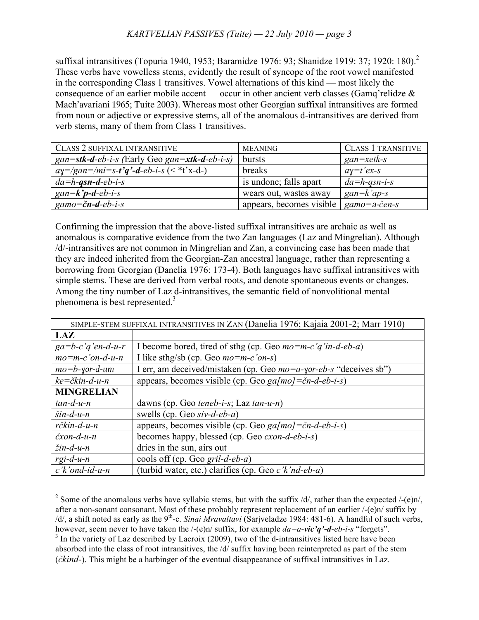suffixal intransitives (Topuria 1940, 1953; Baramidze 1976: 93; Shanidze 1919: 37; 1920: 180).<sup>2</sup> These verbs have vowelless stems, evidently the result of syncope of the root vowel manifested in the corresponding Class 1 transitives. Vowel alternations of this kind — most likely the consequence of an earlier mobile accent — occur in other ancient verb classes (Gamq'relidze & Mach'avariani 1965; Tuite 2003). Whereas most other Georgian suffixal intransitives are formed from noun or adjective or expressive stems, all of the anomalous d-intransitives are derived from verb stems, many of them from Class 1 transitives.

| CLASS 2 SUFFIXAL INTRANSITIVE                     | <b>MEANING</b>                                                              | <b>CLASS 1 TRANSITIVE</b> |
|---------------------------------------------------|-----------------------------------------------------------------------------|---------------------------|
| $gan =$ stk-d-eb-i-s (Early Geo gan=xtk-d-eb-i-s) | bursts                                                                      | $gan = xetk-s$            |
| $ay = /gan = /mi = s-t'q' - d-eb-i-s$ (< *t'x-d-) | breaks                                                                      | $ay=t'ex-s$               |
| $da = h$ -qsn-d-eb-i-s                            | is undone; falls apart                                                      | $da = h$ -qsn-i-s         |
| gan= $k$ 'p-d-eb-i-s                              | wears out, wastes away                                                      | $gan=k'ap-s$              |
| $gamma = \text{c}n-d-eb-i-s$                      | appears, becomes visible $ $ gamo=a-c <sup><math>\check{e}</math>en-s</sup> |                           |

Confirming the impression that the above-listed suffixal intransitives are archaic as well as anomalous is comparative evidence from the two Zan languages (Laz and Mingrelian). Although /d/-intransitives are not common in Mingrelian and Zan, a convincing case has been made that they are indeed inherited from the Georgian-Zan ancestral language, rather than representing a borrowing from Georgian (Danelia 1976: 173-4). Both languages have suffixal intransitives with simple stems. These are derived from verbal roots, and denote spontaneous events or changes. Among the tiny number of Laz d-intransitives, the semantic field of nonvolitional mental phenomena is best represented.<sup>3</sup>

| SIMPLE-STEM SUFFIXAL INTRANSITIVES IN ZAN (Danelia 1976; Kajaia 2001-2; Marr 1910) |                                                                    |  |
|------------------------------------------------------------------------------------|--------------------------------------------------------------------|--|
| <b>LAZ</b>                                                                         |                                                                    |  |
| $ga=b-c'q'en-d-u-r$                                                                | I become bored, tired of sthg (cp. Geo $mo=m-c'q'in-d-eb-a$ )      |  |
| $mo=m-c'on-d-u-n$                                                                  | I like sthg/sb (cp. Geo $mo = mc'$ on-s)                           |  |
| $mo = b$ -yor-d-um                                                                 | I err, am deceived/mistaken (cp. Geo mo=a-yor-eb-s "deceives sb")  |  |
| $ke = \check{c}$ kin-d-u-n                                                         | appears, becomes visible (cp. Geo $ga/mol = \check{c}n-d-eb-i-s$ ) |  |
| <b>MINGRELIAN</b>                                                                  |                                                                    |  |
| $tan-d-u-n$                                                                        | dawns (cp. Geo teneb-i-s; Laz tan-u-n)                             |  |
| $\sin$ -d-u-n                                                                      | swells (cp. Geo siv-d-eb-a)                                        |  |
| rčkin-d-u-n                                                                        | appears, becomes visible (cp. Geo $ga/mol = \check{c}n-d-eb-i-s$ ) |  |
| $\check{c}$ xon-d-u-n                                                              | becomes happy, blessed (cp. Geo <i>cxon-d-eb-i-s</i> )             |  |
| $žin-d-u-n$                                                                        | dries in the sun, airs out                                         |  |
| $rgi-d-u-n$                                                                        | cools off (cp. Geo gril-d-eb-a)                                    |  |
| $c'$ <i>k</i> 'ond-id-u-n                                                          | (turbid water, etc.) clarifies (cp. Geo c'k'nd-eb-a)               |  |

<sup>&</sup>lt;sup>2</sup> Some of the anomalous verbs have syllabic stems, but with the suffix  $\frac{d}{dx}$ , rather than the expected  $\frac{1}{e}$ (e)n. after a non-sonant consonant. Most of these probably represent replacement of an earlier /-(e)n/ suffix by /d/, a shift noted as early as the 9<sup>th</sup>-c. *Sinai Mravaltavi* (Sarjveladze 1984: 481-6). A handful of such verbs, however, seem never to have taken the  $/-(e)n/$  suffix, for example  $da = a$ -*vic'q'***-d**-*eb-i-s* "forgets".<br><sup>3</sup> In the variety of Laz described by Lacroix (2009), two of the d-intransitives listed here have been absorbed into the class of root intransitives, the /d/ suffix having been reinterpreted as part of the stem (*čkind-*). This might be a harbinger of the eventual disappearance of suffixal intransitives in Laz.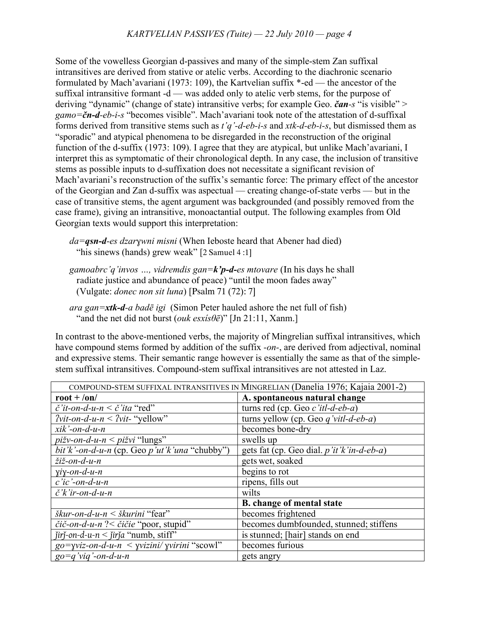Some of the vowelless Georgian d-passives and many of the simple-stem Zan suffixal intransitives are derived from stative or atelic verbs. According to the diachronic scenario formulated by Mach'avariani (1973: 109), the Kartvelian suffix \*-ed — the ancestor of the suffixal intransitive formant -d — was added only to atelic verb stems, for the purpose of deriving "dynamic" (change of state) intransitive verbs; for example Geo. *čan-s* "is visible" > *gamo=čn-d-eb-i-s* "becomes visible". Mach'avariani took note of the attestation of d-suffixal forms derived from transitive stems such as *t'q'-d-eb-i-s* and *xtk-d-eb-i-s*, but dismissed them as "sporadic" and atypical phenomena to be disregarded in the reconstruction of the original function of the d-suffix (1973: 109). I agree that they are atypical, but unlike Mach'avariani, I interpret this as symptomatic of their chronological depth. In any case, the inclusion of transitive stems as possible inputs to d-suffixation does not necessitate a significant revision of Mach'avariani's reconstruction of the suffix's semantic force: The primary effect of the ancestor of the Georgian and Zan d-suffix was aspectual — creating change-of-state verbs — but in the case of transitive stems, the agent argument was backgrounded (and possibly removed from the case frame), giving an intransitive, monoactantial output. The following examples from Old Georgian texts would support this interpretation:

*da=qsn-d-es dzarɣwni misni* (When Ieboste heard that Abener had died) "his sinews (hands) grew weak" [2 Samuel 4:1]

*gamoabrc'q'invos …, vidremdis gan=k'p-d-es mtovare* (In his days he shall radiate justice and abundance of peace) "until the moon fades away" (Vulgate: *donec non sit luna*) [Psalm 71 (72): 7]

*ara gan=xtk-d-a badē igi* (Simon Peter hauled ashore the net full of fish) "and the net did not burst (*ouk esxísθē*)" [Jn 21:11, Xanm.]

In contrast to the above-mentioned verbs, the majority of Mingrelian suffixal intransitives, which have compound stems formed by addition of the suffix *-on-*, are derived from adjectival, nominal and expressive stems. Their semantic range however is essentially the same as that of the simplestem suffixal intransitives. Compound-stem suffixal intransitives are not attested in Laz.

| COMPOUND-STEM SUFFIXAL INTRANSITIVES IN MINGRELIAN (Danelia 1976; Kajaia 2001-2) |                                              |  |
|----------------------------------------------------------------------------------|----------------------------------------------|--|
| $root + /on/$                                                                    | A. spontaneous natural change                |  |
| $\check{c}$ 'it-on-d-u-n < $\check{c}$ 'ita "red"                                | turns red (cp. Geo $c$ 'itl-d-eb-a)          |  |
| $2vit-on-d-u-n < 2vit$ - "yellow"                                                | turns yellow (cp. Geo $q$ 'vitl-d-eb-a)      |  |
| $xik'$ -on-d-u-n                                                                 | becomes bone-dry                             |  |
| $pi\zeta v$ -on-d-u-n < pižvi "lungs"                                            | swells up                                    |  |
| bit'k'-on-d-u-n (cp. Geo $p'ut'k'una$ "chubby")                                  | gets fat (cp. Geo dial. $p'$ it'k'in-d-eb-a) |  |
| žiž-on-d-u-n                                                                     | gets wet, soaked                             |  |
| $\gamma$ <i>i</i> $\gamma$ - <i>on</i> - <i>d</i> - <i>u</i> - <i>n</i>          | begins to rot                                |  |
| $c'ic'$ -on-d-u-n                                                                | ripens, fills out                            |  |
| $\check{c}'\check{k}'$ ir-on-d-u-n                                               | wilts                                        |  |
|                                                                                  | <b>B.</b> change of mental state             |  |
| $\delta k$ ur-on-d-u-n < $\delta k$ urini "fear"                                 | becomes frightened                           |  |
| čič-on-d-u-n ?< čičie "poor, stupid"                                             | becomes dumbfounded, stunned; stiffens       |  |
| $j$ irj-on-d-u-n < jirja "numb, stiff"                                           | is stunned; [hair] stands on end             |  |
| $g_0 = \gamma$ viz-on-d-u-n < $\gamma$ vizini/ $\gamma$ virini "scowl"           | becomes furious                              |  |
| $g_0 = q'$ viq'-on-d-u-n                                                         | gets angry                                   |  |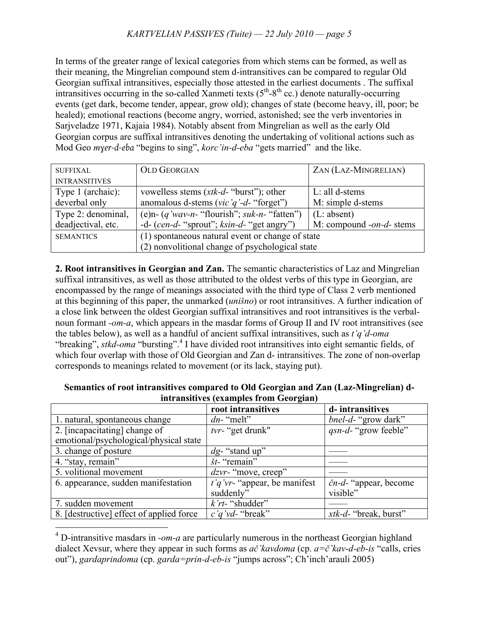In terms of the greater range of lexical categories from which stems can be formed, as well as their meaning, the Mingrelian compound stem d-intransitives can be compared to regular Old Georgian suffixal intransitives, especially those attested in the earliest documents . The suffixal intransitives occurring in the so-called Xanmeti texts  $(5^{th} – 8^{th}$  cc.) denote naturally-occurring events (get dark, become tender, appear, grow old); changes of state (become heavy, ill, poor; be healed); emotional reactions (become angry, worried, astonished; see the verb inventories in Sarjveladze 1971, Kajaia 1984). Notably absent from Mingrelian as well as the early Old Georgian corpus are suffixal intransitives denoting the undertaking of volitional actions such as Mod Geo *mɣer-d-eba* "begins to sing", *korc'in-d-eba* "gets married" and the like.

| <b>SUFFIXAL</b>      | <b>OLD GEORGIAN</b>                              | ZAN (LAZ-MINGRELIAN)     |  |
|----------------------|--------------------------------------------------|--------------------------|--|
| <b>INTRANSITIVES</b> |                                                  |                          |  |
| Type 1 (archaic):    | vowelless stems $(xtk-d$ - "burst"); other       | $L$ : all d-stems        |  |
| deverbal only        | anomalous d-stems (vic'q'-d-"forget")            | M: simple d-stems        |  |
| Type 2: denominal,   | (e)n- $(q'$ wav-n- "flourish"; suk-n- "fatten")  | (L: absent)              |  |
| deadjectival, etc.   | -d- $(cen-d$ - "sprout"; $ksin-d$ - "get angry") | M: compound -on-d- stems |  |
| <b>SEMANTICS</b>     | (1) spontaneous natural event or change of state |                          |  |
|                      | (2) nonvolitional change of psychological state  |                          |  |

**2. Root intransitives in Georgian and Zan.** The semantic characteristics of Laz and Mingrelian suffixal intransitives, as well as those attributed to the oldest verbs of this type in Georgian, are encompassed by the range of meanings associated with the third type of Class 2 verb mentioned at this beginning of this paper, the unmarked (*unišno*) or root intransitives. A further indication of a close link between the oldest Georgian suffixal intransitives and root intransitives is the verbalnoun formant *-om-a*, which appears in the masdar forms of Group II and IV root intransitives (see the tables below), as well as a handful of ancient suffixal intransitives, such as *t'q'd-oma* "breaking", *stkd-oma* "bursting".<sup>4</sup> I have divided root intransitives into eight semantic fields, of which four overlap with those of Old Georgian and Zan d- intransitives. The zone of non-overlap corresponds to meanings related to movement (or its lack, staying put).

|                                          | $\mathbf{\sigma}$               |                                   |
|------------------------------------------|---------------------------------|-----------------------------------|
|                                          | root intransitives              | d-intransitives                   |
| 1. natural, spontaneous change           | $dn$ - "melt"                   | <i>bnel-d-</i> "grow dark"        |
| 2. [incapacitating] change of            | tvr- "get drunk"                | <i>qsn-d-</i> "grow feeble"       |
| emotional/psychological/physical state   |                                 |                                   |
| 3. change of posture                     | $dg$ - "stand up"               |                                   |
| 4. "stay, remain"                        | $\check{s}t$ - "remain"         |                                   |
| 5. volitional movement                   | $dzvr$ - "move, creep"          |                                   |
| 6. appearance, sudden manifestation      | $t'q'vr$ - "appear, be manifest | $\check{c}n-d$ - "appear, become" |
|                                          | suddenly"                       | visible"                          |
| 7. sudden movement                       | $k'r$ - "shudder"               |                                   |
| 8. [destructive] effect of applied force | $c'q'vd$ "break"                | <i>xtk-d-</i> "break, burst"      |

### **Semantics of root intransitives compared to Old Georgian and Zan (Laz-Mingrelian) dintransitives (examples from Georgian)**

 <sup>4</sup> D-intransitive masdars in *-om-a* are particularly numerous in the northeast Georgian highland dialect Xevsur, where they appear in such forms as *ač'kavdoma* (cp. *a=č'kav-d-eb-is* "calls, cries out"), *gardaprindoma* (cp. *garda=prin-d-eb-is* "jumps across"; Ch'inch'arauli 2005)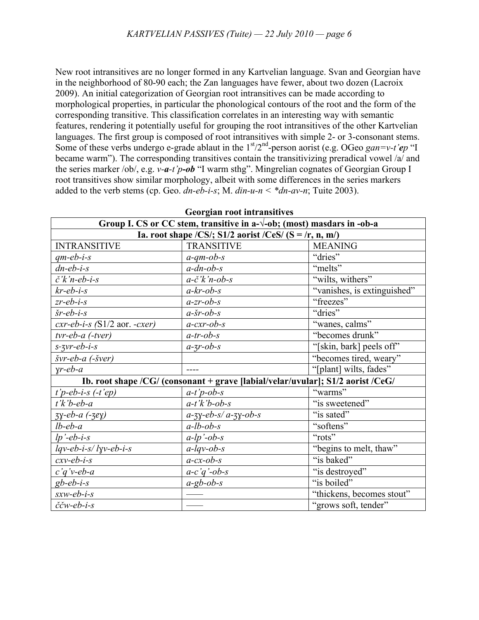New root intransitives are no longer formed in any Kartvelian language. Svan and Georgian have in the neighborhood of 80-90 each; the Zan languages have fewer, about two dozen (Lacroix 2009). An initial categorization of Georgian root intransitives can be made according to morphological properties, in particular the phonological contours of the root and the form of the corresponding transitive. This classification correlates in an interesting way with semantic features, rendering it potentially useful for grouping the root intransitives of the other Kartvelian languages. The first group is composed of root intransitives with simple 2- or 3-consonant stems. Some of these verbs undergo e-grade ablaut in the  $1<sup>st</sup>/2<sup>nd</sup>$ -person aorist (e.g. OGeo *gan=v-t'ep* "I became warm"). The corresponding transitives contain the transitivizing preradical vowel /a/ and the series marker /ob/, e.g. *v-a-t'p-ob* "I warm sthg". Mingrelian cognates of Georgian Group I root transitives show similar morphology, albeit with some differences in the series markers added to the verb stems (cp. Geo. *dn-eb-i-s*; M. *din-u-n < \*dn-av-n*; Tuite 2003).

| <b>Georgian root intransitives</b>                                              |                                                                                 |                                     |  |
|---------------------------------------------------------------------------------|---------------------------------------------------------------------------------|-------------------------------------|--|
| Group I. CS or CC stem, transitive in a- $\sqrt{-}$ ob; (most) masdars in -ob-a |                                                                                 |                                     |  |
| Ia. root shape /CS/; S1/2 aorist /CeS/ (S = /r, n, m/)                          |                                                                                 |                                     |  |
| <b>INTRANSITIVE</b>                                                             | <b>TRANSITIVE</b>                                                               | <b>MEANING</b>                      |  |
| $qm-eb-i-s$                                                                     | $a$ -qm-ob-s                                                                    | "dries"                             |  |
| $dn-eb-i-s$                                                                     | $a$ -dn-ob-s                                                                    | "melts"                             |  |
| $\check{c}'\check{k}'n$ -eb-i-s                                                 | $a-\check{c}$ 'k'n-ob-s                                                         | "wilts, withers"                    |  |
| $kr$ -eb-i-s                                                                    | $a-kr-ob-s$                                                                     | "vanishes, is extinguished"         |  |
| $z$ r-eb-i-s                                                                    | $a$ -zr-ob-s                                                                    | "freezes"                           |  |
| $\check{s}$ r-eb-i-s                                                            | $a$ -šr-ob-s                                                                    | "dries"                             |  |
| $cxr-eb-i-s$ (S1/2 aor. $-cxer$ )                                               | $a$ -cxr-ob-s                                                                   | "wanes, calms"                      |  |
| $tvr-eb-a$ $(-tver)$                                                            | $a$ -tr-ob-s                                                                    | "becomes drunk"                     |  |
| $s$ -zvr-eb-i-s                                                                 | $a$ -zr-ob-s                                                                    | "[skin, bark] peels off"            |  |
| švr-eb-a (-šver)                                                                |                                                                                 | "becomes tired, weary"              |  |
| $\gamma$ r-eb-a                                                                 |                                                                                 | "[plant] wilts, fades"              |  |
|                                                                                 | Ib. root shape /CG/ (consonant + grave [labial/velar/uvular]; S1/2 aorist /CeG/ |                                     |  |
| $t'$ <i>p</i> -eb-i-s $(-t'ep)$                                                 | $a-t'p-ob-s$                                                                    | "warms"                             |  |
| $t'$ k'b-eb-a                                                                   | $a-t'k'b-ob-s$                                                                  | $\overline{\text{``is}}$ sweetened" |  |
| $3y$ -eb-a (- $3ey$ )                                                           | $a$ -zy-eb-s/a-zy-ob-s                                                          | "is sated"                          |  |
| $lb$ -eb-a                                                                      | $a$ -lb-ob-s                                                                    | "softens"                           |  |
| $lp'-eb-i-s$                                                                    | $a$ -lp'-ob-s                                                                   | "rots"                              |  |
| $lqv-eb-i-s/lyv-eb-i-s$                                                         | $a$ -lqv-ob-s                                                                   | "begins to melt, thaw"              |  |
| $c$ xv-eb-i-s                                                                   | $a$ -cx-ob-s                                                                    | "is baked"                          |  |
| $c'q'v-eb-a$                                                                    | $a-c'q'$ -ob-s                                                                  | "is destroyed"                      |  |
| $gb$ -eb-i-s                                                                    | $a-gb-ob-s$                                                                     | "is boiled"                         |  |
| $sxw-eb-i-s$                                                                    |                                                                                 | "thickens, becomes stout"           |  |
| $\check{c}\check{c}$ w-eb-i-s                                                   |                                                                                 | "grows soft, tender"                |  |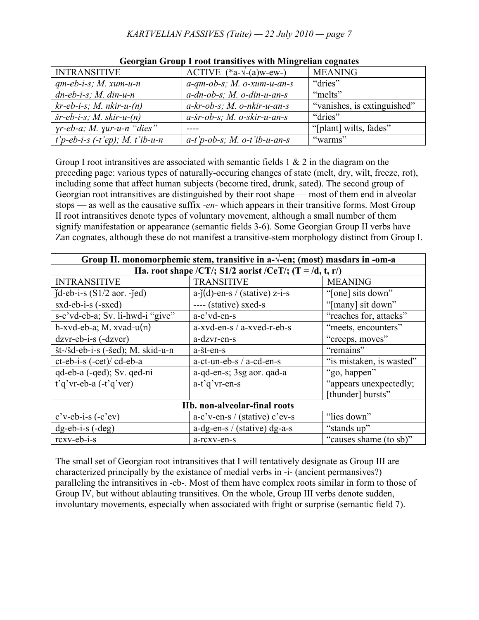| <b>INTRANSITIVE</b>                           | ACTIVE $(*a-\sqrt{-}(a)w-ew-)$ | <b>MEANING</b>              |  |
|-----------------------------------------------|--------------------------------|-----------------------------|--|
| $qm-eb-i-s$ ; M. xum-u-n                      | $a$ -qm-ob-s; M. o-xum-u-an-s  | "dries"                     |  |
| $dn$ -eb-i-s; M. din-u-n                      | $a$ -dn-ob-s; M. o-din-u-an-s  | "melts"                     |  |
| $kr-eb-i-s$ ; M. nkir-u- $(n)$                | $a$ -kr-ob-s; M. o-nkir-u-an-s | "vanishes, is extinguished" |  |
| $\check{s}$ r-eb-i-s; M. skir-u- $(n)$        | $a$ -šr-ob-s; M. o-skir-u-an-s | "dries"                     |  |
| $\gamma r$ -eb-a; M. $\gamma u r$ -u-n "dies" |                                | "[plant] wilts, fades"      |  |
| $\mid$ t'p-eb-i-s (-t'ep); M. t'ib-u-n        | $a-t'p-ob-s; M. o-t'ib-u-an-s$ | "warms"                     |  |

**Georgian Group I root transitives with Mingrelian cognates**

Group I root intransitives are associated with semantic fields  $1 \& 2$  in the diagram on the preceding page: various types of naturally-occuring changes of state (melt, dry, wilt, freeze, rot), including some that affect human subjects (become tired, drunk, sated). The second group of Georgian root intransitives are distinguished by their root shape — most of them end in alveolar stops — as well as the causative suffix *-en-* which appears in their transitive forms. Most Group II root intransitives denote types of voluntary movement, although a small number of them signify manifestation or appearance (semantic fields 3-6). Some Georgian Group II verbs have Zan cognates, although these do not manifest a transitive-stem morphology distinct from Group I.

| Group II. monomorphemic stem, transitive in $a-\sqrt{-}en$ ; (most) masdars in -om-a |                                  |                          |  |
|--------------------------------------------------------------------------------------|----------------------------------|--------------------------|--|
| IIa. root shape /CT/; S1/2 aorist /CeT/; $(T = /d, t, r/$                            |                                  |                          |  |
| <b>INTRANSITIVE</b>                                                                  | <b>TRANSITIVE</b>                | <b>MEANING</b>           |  |
| $\text{id-eb-i-s}$ (S1/2 aor. - $\text{ed}$ )                                        | $a-j(d)$ -en-s / (stative) z-i-s | "[one] sits down"        |  |
| sxd-eb-i-s (-sxed)                                                                   | ---- (stative) sxed-s            | "[many] sit down"        |  |
| s-c'vd-eb-a; Sv. li-hwd-i "give"                                                     | a-c'vd-en-s                      | "reaches for, attacks"   |  |
| $h$ -xvd-eb-a; M. xvad-u $(n)$                                                       | a-xvd-en-s / a-xved-r-eb-s       | "meets, encounters"      |  |
| $dzvr-eb-i-s$ $(-dzver)$                                                             | a-dzvr-en-s                      | "creeps, moves"          |  |
| št-/šd-eb-i-s (-šed); M. skid-u-n                                                    | a-št-en-s                        | "remains"                |  |
| ct-eb-i-s (-cet)/ cd-eb-a                                                            | a-ct-un-eb-s / a-cd-en-s         | "is mistaken, is wasted" |  |
| qd-eb-a (-qed); Sv. qed-ni                                                           | a-qd-en-s; 3sg aor. qad-a        | "go, happen"             |  |
| $t'q'vr-eb-a(-t'q'ver)$                                                              | $a-t'q'vr-en-s$                  | "appears unexpectedly;   |  |
|                                                                                      |                                  | [thunder] bursts"        |  |
| IIb. non-alveolar-final roots                                                        |                                  |                          |  |
| $c$ 'v-eb-i-s (-c'ev)                                                                | $a-c$ 'v-en-s / (stative) c'ev-s | "lies down"              |  |
| $dg-eb-i-s(-deg)$                                                                    | $a$ -dg-en-s / (stative) dg-a-s  | "stands up"              |  |
| rcxv-eb-i-s                                                                          | a-rexv-en-s                      | "causes shame (to sb)"   |  |

The small set of Georgian root intransitives that I will tentatively designate as Group III are characterized principally by the existance of medial verbs in -i- (ancient permansives?) paralleling the intransitives in -eb-. Most of them have complex roots similar in form to those of Group IV, but without ablauting transitives. On the whole, Group III verbs denote sudden, involuntary movements, especially when associated with fright or surprise (semantic field 7).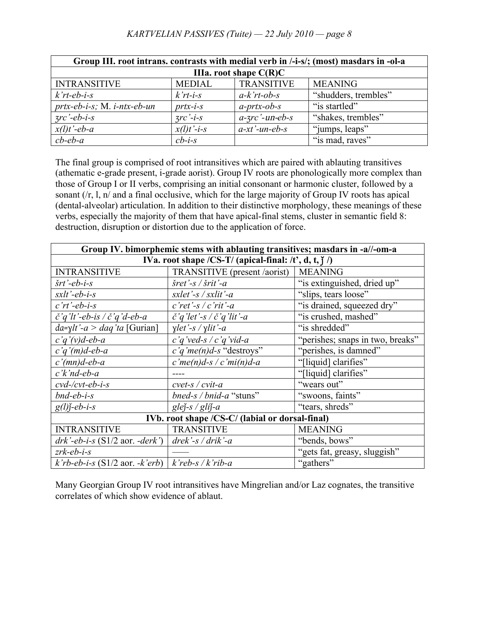| Group III. root intrans. contrasts with medial verb in /-i-s/; (most) masdars in -ol-a |                                      |                   |                      |
|----------------------------------------------------------------------------------------|--------------------------------------|-------------------|----------------------|
| IIIa. root shape $C(R)C$                                                               |                                      |                   |                      |
| <b>INTRANSITIVE</b>                                                                    | <b>MEDIAL</b>                        | <b>TRANSITIVE</b> | <b>MEANING</b>       |
| $k$ 'rt-eb-i-s                                                                         | $k'r$ <i>t</i> - <i>i</i> - <i>s</i> | $a-k'rt-ob-s$     | "shudders, trembles" |
| $prtx-eb-i-s$ ; M. <i>i-ntx-eb-un</i>                                                  | $prtx-i-s$                           | $a$ -prtx-ob-s    | "is startled"        |
| $\frac{3}{c}$ -eb-i-s                                                                  | $\frac{7}{c}$ -i-s                   | $a$ -zrc'-un-eb-s | "shakes, trembles"   |
| $x(l)t'$ -eb-a                                                                         | $x(l)t'-i-s$                         | $a$ -xt'-un-eb-s  | "jumps, leaps"       |
| $cb$ -eb-a                                                                             | $cb$ -i-s                            |                   | "is mad, raves"      |

The final group is comprised of root intransitives which are paired with ablauting transitives (athematic e-grade present, i-grade aorist). Group IV roots are phonologically more complex than those of Group I or II verbs, comprising an initial consonant or harmonic cluster, followed by a sonant (/r, l, n/ and a final occlusive, which for the large majority of Group IV roots has apical (dental-alveolar) articulation. In addition to their distinctive morphology, these meanings of these verbs, especially the majority of them that have apical-final stems, cluster in semantic field 8: destruction, disruption or distortion due to the application of force.

| Group IV. bimorphemic stems with ablauting transitives; masdars in -a//-om-a |                                                          |                                  |  |  |
|------------------------------------------------------------------------------|----------------------------------------------------------|----------------------------------|--|--|
| IVa. root shape /CS-T/ (apical-final: /t', d, t, $\hat{j}$ /)                |                                                          |                                  |  |  |
| <b>INTRANSITIVE</b>                                                          | TRANSITIVE (present /aorist)                             | <b>MEANING</b>                   |  |  |
| $\check{s}rt$ '-eb-i-s                                                       | $\check{s}$ ret'-s / $\check{s}$ rit'-a                  | "is extinguished, dried up"      |  |  |
| $sxtt -eb-i-s$                                                               | $s$ xlet'-s / sxlit'-a                                   | "slips, tears loose"             |  |  |
| $c'rt'-eb-i-s$                                                               | $c$ 'ret'-s / c'rit'-a                                   | "is drained, squeezed dry"       |  |  |
| $\check{c}$ 'q'lt'-eb-is / $\check{c}$ 'q'd-eb-a                             | $\check{c}$ 'q'let'-s / $\check{c}$ 'q'lit'-a            | "is crushed, mashed"             |  |  |
| $da=ylt'-a > daq'ta$ [Gurian]                                                | $\gamma$ let'-s / $\gamma$ lit'-a                        | "is shredded"                    |  |  |
| $c'q'(v)d$ -eb-a                                                             | $c'q'$ ved-s / $c'q'$ vid-a                              | "perishes; snaps in two, breaks" |  |  |
| $c'q'(m)d$ -eb-a                                                             | $c'q'me(n)d-s$ "destroys"                                | "perishes, is damned"            |  |  |
| $c'(mn)d$ -eb-a                                                              | c'me $(n)d$ -s / c'mi $(n)d$ -a                          | "[liquid] clarifies"             |  |  |
| $c'$ <i>k</i> 'nd-eb-a                                                       |                                                          | "[liquid] clarifies"             |  |  |
| $cvd$ -/ $cvt$ - $eb$ - $i$ - $s$                                            | $cvet$ -s / $cvit$ -a                                    | "wears out"                      |  |  |
| $b$ nd-eb-i-s                                                                | bned-s / bnid-a "stuns"                                  | "swoons, faints"                 |  |  |
| $g(l)$ j-eb-i-s                                                              | glej-s / glij-a                                          | "tears, shreds"                  |  |  |
| IVb. root shape /CS-C/ (labial or dorsal-final)                              |                                                          |                                  |  |  |
| <b>INTRANSITIVE</b>                                                          | <b>TRANSITIVE</b>                                        | <b>MEANING</b>                   |  |  |
| $drk'$ -eb-i-s (S1/2 aor. -derk')                                            | $\frac{d\mathit{rek}}{s}$ / $\frac{d\mathit{rik}}{s}$ -a | "bends, bows"                    |  |  |
| $zrk$ -eb-i-s                                                                |                                                          | "gets fat, greasy, sluggish"     |  |  |
| $k$ 'rb-eb-i-s (S1/2 aor. -k'erb)   k'reb-s / k'rib-a                        |                                                          | "gathers"                        |  |  |

Many Georgian Group IV root intransitives have Mingrelian and/or Laz cognates, the transitive correlates of which show evidence of ablaut.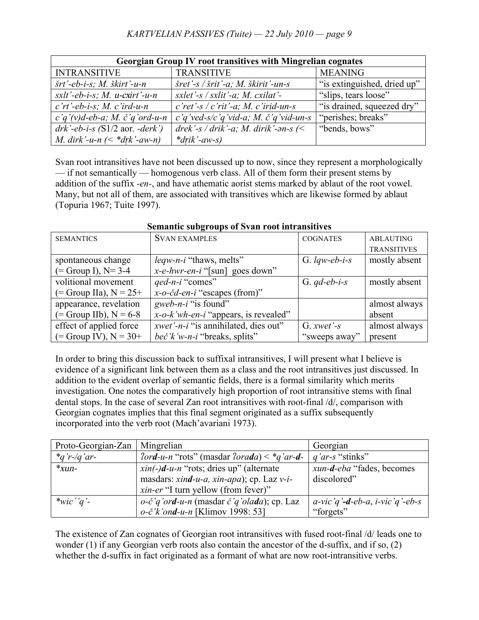| Georgian Group IV root transitives with Mingrelian cognates |                                                                           |                             |  |
|-------------------------------------------------------------|---------------------------------------------------------------------------|-----------------------------|--|
| <b>INTRANSITIVE</b>                                         | <b>TRANSITIVE</b>                                                         | <b>MEANING</b>              |  |
| $\check{s}rt'$ -eb-i-s; M. $\check{s}kirt'$ -u-n            | $\frac{5}{5}$ ret'-s / $\frac{5}{5}$ rit'-a; M. $\frac{5}{5}$ kirit'-un-s | "is extinguished, dried up" |  |
| $s$ xlt'-eb-i-s; M. u-cxirt'-u-n                            | sxlet'-s / sxlit'-a; M. cxilat'-                                          | "slips, tears loose"        |  |
| $c'rt'$ -eb-i-s; M. c'ird-u-n                               | $c$ 'ret'-s / c'rit'-a; M. c'irid-un-s                                    | "is drained, squeezed dry"  |  |
| $c'q'(v)d$ -eb-a; M. č'q'ord-u-n                            | $c'q'$ ved-s/ $c'q'$ vid-a; M. $\check{c}'q'$ vid-un-s                    | "perishes; breaks"          |  |
| $drk'$ -eb-i-s (S1/2 aor. -derk')                           | drek'-s / drik'-a; M. dirik'- $\partial n$ -s (<                          | "bends, bows"               |  |
| <i>M. dirk'-u-n</i> $(<$ * <i>drk'-aw-n</i> )               | $*drik - aw-s)$                                                           |                             |  |

Svan root intransitives have not been discussed up to now, since they represent a morphologically — if not semantically — homogenous verb class. All of them form their present stems by addition of the suffix *-en-*, and have athematic aorist stems marked by ablaut of the root vowel. Many, but not all of them, are associated with transitives which are likewise formed by ablaut (Topuria 1967; Tuite 1997).

| <b>SEMANTICS</b>           | <b>SVAN EXAMPLES</b>                        | <b>COGNATES</b> | <b>ABLAUTING</b>   |
|----------------------------|---------------------------------------------|-----------------|--------------------|
|                            |                                             |                 | <b>TRANSITIVES</b> |
| spontaneous change         | <i>leqw-n-i</i> "thaws, melts"              | G. $lqw-eb-i-s$ | mostly absent      |
| $(=$ Group I), N= 3-4      | $x-e-hwr-en-i$ "[sun] goes down"            |                 |                    |
| volitional movement        | qed-n-i "comes"                             | G. $qd$ -eb-i-s | mostly absent      |
| $($ = Group IIa), N = 25+  | $x$ -o-čd-en-i "escapes (from)"             |                 |                    |
| appearance, revelation     | gweb-n-i "is found"                         |                 | almost always      |
| $(=$ Group IIb), $N = 6-8$ | $x$ -o- $k$ 'wh-en-i "appears, is revealed" |                 | absent             |
| effect of applied force    | <i>xwet'-n-i</i> "is annihilated, dies out" | G. $xwet -s$    | almost always      |
| $(=$ Group IV), $N = 30+$  | beč'k'w-n-i "breaks, splits"                | "sweeps away"   | present            |

**Semantic subgroups of Svan root intransitives**

In order to bring this discussion back to suffixal intransitives, I will present what I believe is evidence of a significant link between them as a class and the root intransitives just discussed. In addition to the evident overlap of semantic fields, there is a formal similarity which merits investigation. One notes the comparatively high proportion of root intransitive stems with final dental stops. In the case of several Zan root intransitives with root-final /d/, comparison with Georgian cognates implies that this final segment originated as a suffix subsequently incorporated into the verb root (Mach'avariani 1973).

| Proto-Georgian-Zan | Mingrelian                                                         | Georgian                                |
|--------------------|--------------------------------------------------------------------|-----------------------------------------|
| $*_q$ 'r-/q'ar-    | $2 \text{ord-u-n}$ "rots" (masdar $2 \text{ord}a$ ) < * $q'ar-d$ - | $q'$ ar-s "stinks"                      |
| $*_{xun}$ -        | $xin(-)$ d-u-n "rots; dries up" (alternate                         | <i>xun-d-eba</i> "fades, becomes"       |
|                    | masdars: xind-u-a, xin-apa); cp. Laz v-i-                          | discolored"                             |
|                    | <i>xin-er</i> "I turn yellow (from fever)"                         |                                         |
| *wic''q'-          | $o$ -č'q'ord-u-n (masdar č'q'olada); ep. Laz                       | a-vic'q' <b>-d</b> -eb-a, i-vic'q'-eb-s |
|                    | $o-\check{c}'$ <i>k</i> ' ond-u-n [Klimov 1998: 53]                | "forgets"                               |

The existence of Zan cognates of Georgian root intransitives with fused root-final /d/ leads one to wonder (1) if any Georgian verb roots also contain the ancestor of the d-suffix, and if so, (2) whether the d-suffix in fact originated as a formant of what are now root-intransitive verbs.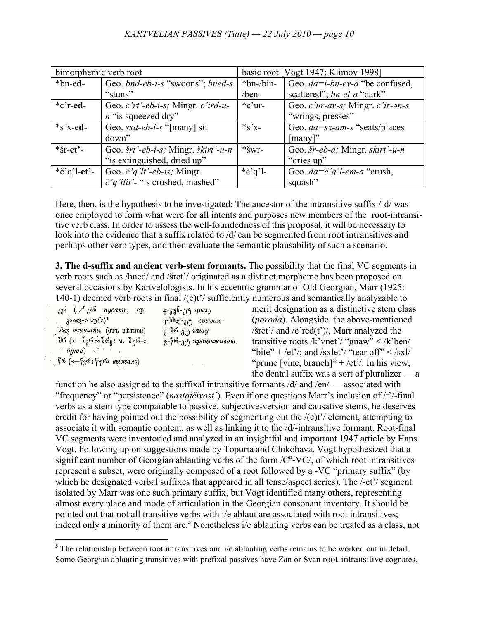| bimorphemic verb root        |                                            |                  | basic root [Vogt 1947; Klimov 1998]        |
|------------------------------|--------------------------------------------|------------------|--------------------------------------------|
| *bn-ed-                      | Geo. bnd-eb-i-s "swoons"; bned-s           | $*bn$ -/bin-     | Geo. $da=i-bn-ev-a$ "be confused,          |
|                              | "stuns"                                    | /ben-            | scattered"; bn-el-a "dark"                 |
| $\cdot$ <sup>*</sup> c'r-ed- | Geo. c'rt'-eb-i-s; Mingr. c'ird-u-         | $*$ c'ur-        | Geo. c'ur-av-s; Mingr. c'ir-an-s           |
|                              | $n$ "is squeezed dry"                      |                  | "wrings, presses"                          |
| $*_{S}$ 'x-ed-               | Geo. sxd-eb-i-s "[many] sit                | $*_{S}$ 'x-      | Geo. $da = sx-am-s$ "seats/places"         |
|                              | down"                                      |                  | [many]"                                    |
| $*$ šr-et'-                  | Geo. šrt'-eb-i-s; Mingr. škirt'-u-n        | $*_{\text{SWT}}$ | Geo. $\check{s}$ r-eb-a; Mingr. skirt'-u-n |
|                              | "is extinguished, dried up"                |                  | "dries up"                                 |
| *č'q'l-et'-                  | Geo. $\check{c}'q'l'$ -eb-is; Mingr.       | *č'q'l-          | Geo. $da = \check{c}'q'l$ -em-a "crush,    |
|                              | $\check{c}$ 'q'ilit'- "is crushed, mashed" |                  | squash"                                    |

Here, then, is the hypothesis to be investigated: The ancestor of the intransitive suffix /-d/ was once employed to form what were for all intents and purposes new members of the root-intransitive verb class. In order to assess the well-foundedness of this proposal, it will be necessary to look into the evidence that a suffix related to /d/ can be segmented from root intransitives and perhaps other verb types, and then evaluate the semantic plausability of such a scenario.

**3. The d-suffix and ancient verb-stem formants.** The possibility that the final VC segments in verb roots such as /bned/ and /šret'/ originated as a distinct morpheme has been proposed on several occasions by Kartvelologists. In his eccentric grammar of Old Georgian, Marr (1925: 140-1) deemed verb roots in final /(e)t'/ sufficiently numerous and semantically analyzable to

| $_{33}^{35}$ ( $\mathcal{A}_{3}^{36}$ <i>rycamb</i> , cp.    | $3 - 376 - 36$ <i>pbisy</i> |
|--------------------------------------------------------------|-----------------------------|
| $\lambda^{0}$ org-o $3y^{6}$ <sup>1</sup>                    | $3$ -bbgs- $10^6$ cpusan    |
| <b>Вер очищать</b> (отъ ветвей)                              | $3 - \frac{36}{10}$ rauty   |
| შრ (← შვრაშრვ: м. შურ-ი                                      | 3-f6-36 npounmensan.        |
| $\therefore$ dyina)                                          |                             |
| $\hat{V}$ ல் (← $\hat{V}$ 3ல்: $\hat{V}$ ურა <i>выжал</i> ъ) |                             |

merit designation as a distinctive stem class (*poroda*). Alongside the above-mentioned  $\text{Xer}^{\prime}$  and  $\text{C}^{\prime}$  red(t<sup>\*</sup>)/, Marr analyzed the transitive roots /k'vnet'/ "gnaw" < /k'ben/ "bite" + /et'/; and /sxlet'/ "tear off" < /sxl/ "prune [vine, branch]" + /et'/. In his view, the dental suffix was a sort of pluralizer — a

function he also assigned to the suffixal intransitive formants  $\frac{d}{dx}$  and  $\frac{dm}{dx}$  associated with "frequency" or "persistence" (*nastojčivost´*). Even if one questions Marr's inclusion of /t'/-final verbs as a stem type comparable to passive, subjective-version and causative stems, he deserves credit for having pointed out the possibility of segmenting out the /(e)t'/ element, attempting to associate it with semantic content, as well as linking it to the /d/-intransitive formant. Root-final VC segments were inventoried and analyzed in an insightful and important 1947 article by Hans Vogt. Following up on suggestions made by Topuria and Chikobava, Vogt hypothesized that a significant number of Georgian ablauting verbs of the form  $/$ C<sup>n</sup>-VC $/$ , of which root intransitives represent a subset, were originally composed of a root followed by a -VC "primary suffix" (by which he designated verbal suffixes that appeared in all tense/aspect series). The /-et'/ segment isolated by Marr was one such primary suffix, but Vogt identified many others, representing almost every place and mode of articulation in the Georgian consonant inventory. It should be pointed out that not all transitive verbs with i/e ablaut are associated with root intransitives; indeed only a minority of them are.<sup>5</sup> Nonetheless i/e ablauting verbs can be treated as a class, not

 $<sup>5</sup>$  The relationship between root intransitives and i/e ablauting verbs remains to be worked out in detail.</sup> Some Georgian ablauting transitives with prefixal passives have Zan or Svan root-intransitive cognates,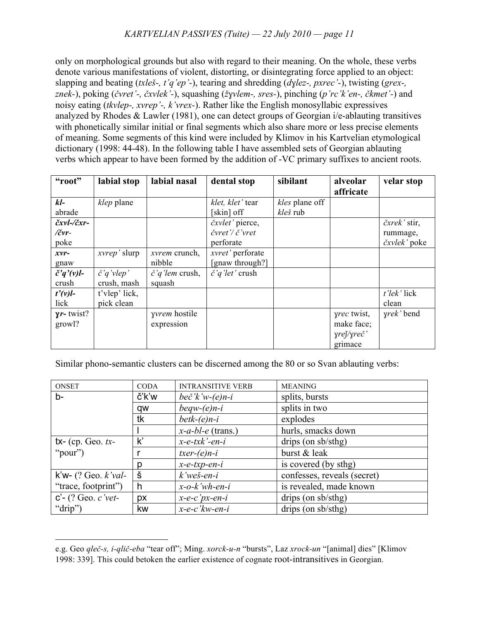only on morphological grounds but also with regard to their meaning. On the whole, these verbs denote various manifestations of violent, distorting, or disintegrating force applied to an object: slapping and beating (*txleš-, t'q'ep'-*), tearing and shredding (*dɣlez-, pxrec'-*), twisting (*grex-, znek-*), poking (*čvret'-, čxvlek'-*), squashing (*žɣvlem-, sres-*), pinching (*p'rc'k'en-, čkmet'-*) and noisy eating (*tkvlep-, xvrep'-, k'vrex-*). Rather like the English monosyllabic expressives analyzed by Rhodes & Lawler (1981), one can detect groups of Georgian i/e-ablauting transitives with phonetically similar initial or final segments which also share more or less precise elements of meaning. Some segments of this kind were included by Klimov in his Kartvelian etymological dictionary (1998: 44-48). In the following table I have assembled sets of Georgian ablauting verbs which appear to have been formed by the addition of -VC primary suffixes to ancient roots.

| "root"              | labial stop          | labial nasal                | dental stop               | sibilant       | alveolar<br>affricate | velar stop       |
|---------------------|----------------------|-----------------------------|---------------------------|----------------|-----------------------|------------------|
| $kl-$               | klep plane           |                             | klet, klet' tear          | kles plane off |                       |                  |
| abrade              |                      |                             | [skin] off                | kleš rub       |                       |                  |
| čxvl-/čxr-          |                      |                             | čxvlet' pierce,           |                |                       | čxrek' stir,     |
| $/$ čvr-            |                      |                             | čvret'/ č'vret            |                |                       | rummage,         |
| poke                |                      |                             | perforate                 |                |                       | čxvlek' poke     |
| $xvr-$              | xvrep' slurp         | <i>xvrem</i> crunch,        | xvret' perforate          |                |                       |                  |
| gnaw                |                      | nibble                      | [gnaw through?]           |                |                       |                  |
| $\check{c}'q'(v)l-$ | $\check{c}$ 'q'vlep' | $\check{c}$ 'q'lem crush,   | $\check{c}$ 'q'let' crush |                |                       |                  |
| crush               | crush, mash          | squash                      |                           |                |                       |                  |
| $t'(v)$ l-          | t'vlep' lick,        |                             |                           |                |                       | $t$ 'lek' lick   |
| lick                | pick clean           |                             |                           |                |                       | clean            |
| $\gamma r$ - twist? |                      | <i><u>yvrem</u></i> hostile |                           |                | yrec twist,           | <i>yrek</i> bend |
| growl?              |                      | expression                  |                           |                | make face;            |                  |
|                     |                      |                             |                           |                | yrej/yreč'            |                  |
|                     |                      |                             |                           |                | grimace               |                  |

Similar phono-semantic clusters can be discerned among the 80 or so Svan ablauting verbs:

| <b>ONSET</b>             | <b>CODA</b>   | <b>INTRANSITIVE VERB</b> | <b>MEANING</b>              |
|--------------------------|---------------|--------------------------|-----------------------------|
| $b-$                     | č'k'w         | beč'k'w- $(e)$ n-i       | splits, bursts              |
|                          | qw            | $b$ eqw- $(e)$ n-i       | splits in two               |
|                          | tk            | $b$ etk- $(e)$ n-i       | explodes                    |
|                          |               | $x-a-bl-e$ (trans.)      | hurls, smacks down          |
| $tx-$ (cp. Geo. $tx-$    | $\mathsf{k}'$ | $x$ -e-tx $k$ '-en-i     | drips (on $sb/sthg)$        |
| " $pour")$               |               | $txer-(e)n-i$            | burst & leak                |
|                          | р             | $x$ -e-txp-en-i          | is covered (by sthg)        |
| $k'w-$ (? Geo. $k'val$ - | Š             | $k$ 'weš-en-i            | confesses, reveals (secret) |
| "trace, footprint")      | h             | $x$ -o- $k$ 'wh-en-i     | is revealed, made known     |
| $C'$ - (? Geo. c'vet-    | px            | $x-e-c'px-en-i$          | drips (on $sb/sthg)$        |
| "drip")                  | <b>kw</b>     | $x-e-c'kw-en-i$          | drips (on $sb/sthg)$        |

e.g. Geo *qleč-s, i-qlič-eba* "tear off"; Ming. *xorck-u-n* "bursts", Laz *xrock-un* "[animal] dies" [Klimov 1998: 339]. This could betoken the earlier existence of cognate root-intransitives in Georgian.

 $\overline{a}$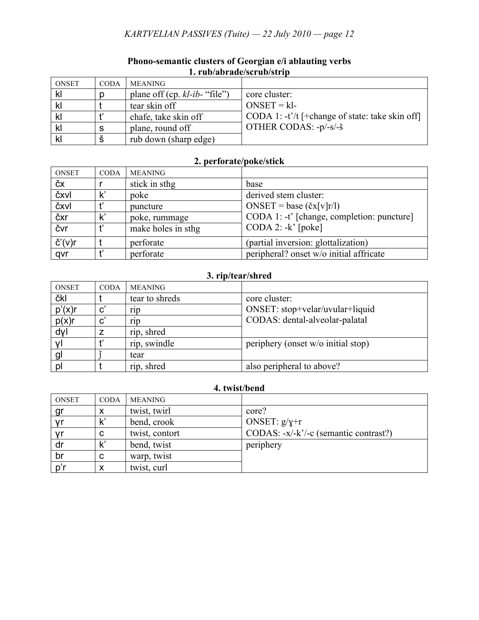## *KARTVELIAN PASSIVES (Tuite) — 22 July 2010 — page 12*

| <b>ONSET</b> | <b>CODA</b> | MEANING                          |                                                   |
|--------------|-------------|----------------------------------|---------------------------------------------------|
| kl           |             | plane off (cp. $kl$ -ib- "file") | core cluster:                                     |
| k            |             | tear skin off                    | $ONSET = k1$                                      |
| kl           |             | chafe, take skin off             | CODA 1: $-t'/t$ [+change of state: take skin off] |
| k            | S           | plane, round off                 | OTHER CODAS: -p/-s/-š                             |
| kl           |             | rub down (sharp edge)            |                                                   |

### **Phono-semantic clusters of Georgian e/i ablauting verbs 1. rub/abrade/scrub/strip**

# **2. perforate/poke/stick**

| <b>ONSET</b>      | <b>CODA</b> | <b>MEANING</b>     |                                            |
|-------------------|-------------|--------------------|--------------------------------------------|
| ČХ                |             | stick in sthg      | base                                       |
| čxvl              |             | poke               | derived stem cluster:                      |
| čxvl              |             | puncture           | ONSET = base $(\text{cx}[v]r/l)$           |
| čxr               |             | poke, rummage      | CODA 1: -t' [change, completion: puncture] |
| čvr               |             | make holes in sthg | $\text{CODA}$ 2: -k' [poke]                |
| $\check{C}'(V)$ r |             | perforate          | (partial inversion: glottalization)        |
| qvr               |             | perforate          | peripheral? onset w/o initial affricate    |

## **3. rip/tear/shred**

| <b>ONSET</b> | <b>CODA</b>           | <b>MEANING</b>  |                                    |
|--------------|-----------------------|-----------------|------------------------------------|
| čkl          |                       | tear to shreds  | core cluster:                      |
| $p'(x)$ r    | $\mathbf{C}^{\prime}$ | rip             | ONSET: stop+velar/uvular+liquid    |
| p(x)r        | $\mathbf{C}^{\prime}$ | r <sub>1D</sub> | CODAS: dental-alveolar-palatal     |
| dyl          |                       | rip, shred      |                                    |
|              |                       | rip, swindle    | periphery (onset w/o initial stop) |
| gl           |                       | tear            |                                    |
| pl           |                       | rip, shred      | also peripheral to above?          |

### **4. twist/bend**

| ONSET     | <b>CODA</b> | <b>MEANING</b> |                                       |
|-----------|-------------|----------------|---------------------------------------|
| <u>gr</u> |             | twist, twirl   | core?                                 |
| γr        |             | bend, crook    | ONSET: $g/\gamma+r$                   |
| . yr      | C           | twist, contort | CODAS: -x/-k'/-c (semantic contrast?) |
| dr        |             | bend, twist    | periphery                             |
| br        | C           | warp, twist    |                                       |
|           |             | twist, curl    |                                       |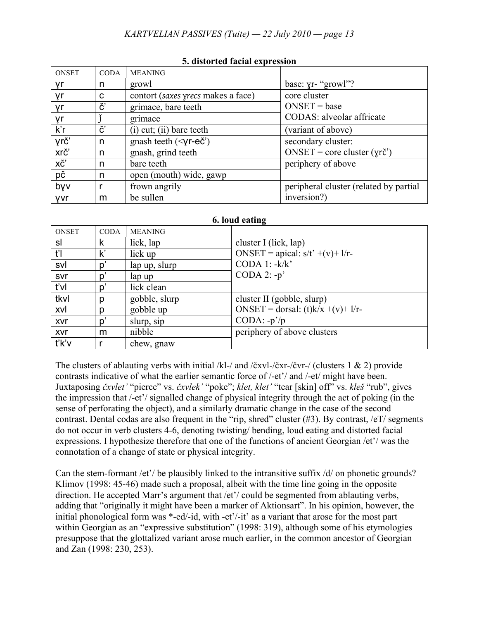| <b>ONSET</b> | <b>CODA</b> | <b>MEANING</b>                             |                                        |
|--------------|-------------|--------------------------------------------|----------------------------------------|
| γr           | n           | growl                                      | base: yr- "growl"?                     |
| γr           | C           | contort (saxes yrecs makes a face)         | core cluster                           |
| γr           | č'          | grimace, bare teeth                        | $ONSET = base$                         |
| γr           |             | grimace                                    | CODAS: alveolar affricate              |
| $k$ 'r       | č'          | $(i)$ cut; $(ii)$ bare teeth               | (variant of above)                     |
| yrč'         | n           | gnash teeth $(\leq \gamma r - e\check{c})$ | secondary cluster:                     |
| xrč'         | n           | gnash, grind teeth                         | $ONSET = core cluster (yr\texttt{C}')$ |
| XČ'          | n           | bare teeth                                 | periphery of above                     |
| pč           | n           | open (mouth) wide, gawp                    |                                        |
| byv          |             | frown angrily                              | peripheral cluster (related by partial |
| yvr          | m           | be sullen                                  | inversion?)                            |

#### **5. distorted facial expression**

| 6. loud eating |               |                |                                      |  |
|----------------|---------------|----------------|--------------------------------------|--|
| <b>ONSET</b>   | <b>CODA</b>   | <b>MEANING</b> |                                      |  |
| sl             | k             | lick, lap      | cluster I (lick, lap)                |  |
| ťI             | $\mathsf{k}'$ | lick up        | ONSET = apical: $s/t'$ +(v)+ l/r-    |  |
| svl            | p'            | lap up, slurp  | CODA 1: $-k/k$                       |  |
| svr            | p'            | lap up         | CODA $2: -p'$                        |  |
| t'vl           | p'            | lick clean     |                                      |  |
| tkvl           | n             | gobble, slurp  | cluster II (gobble, slurp)           |  |
| xvl            | n             | gobble up      | ONSET = dorsal: $(t)k/x + (v) + 1/r$ |  |
| <b>XVr</b>     | p'            | slurp, sip     | $ CODA: -p'/p$                       |  |
| xvr            | m             | nibble         | periphery of above clusters          |  |
| t'k'v          |               | chew, gnaw     |                                      |  |

The clusters of ablauting verbs with initial /kl-/ and /čxvl-/čxr-/čvr-/ (clusters 1 & 2) provide contrasts indicative of what the earlier semantic force of /-et'/ and /-et/ might have been. Juxtaposing *čxvlet'* "pierce" vs. *čxvlek'* "poke"; *klet, klet'* "tear [skin] off" vs. *kleš* "rub", gives the impression that /-et'/ signalled change of physical integrity through the act of poking (in the sense of perforating the object), and a similarly dramatic change in the case of the second contrast. Dental codas are also frequent in the "rip, shred" cluster (#3). By contrast, /eT/ segments do not occur in verb clusters 4-6, denoting twisting/ bending, loud eating and distorted facial expressions. I hypothesize therefore that one of the functions of ancient Georgian /et'/ was the connotation of a change of state or physical integrity.

Can the stem-formant /et'/ be plausibly linked to the intransitive suffix /d/ on phonetic grounds? Klimov (1998: 45-46) made such a proposal, albeit with the time line going in the opposite direction. He accepted Marr's argument that /et'/ could be segmented from ablauting verbs, adding that "originally it might have been a marker of Aktionsart". In his opinion, however, the initial phonological form was \*-ed/-id, with -et'/-it' as a variant that arose for the most part within Georgian as an "expressive substitution" (1998: 319), although some of his etymologies presuppose that the glottalized variant arose much earlier, in the common ancestor of Georgian and Zan (1998: 230, 253).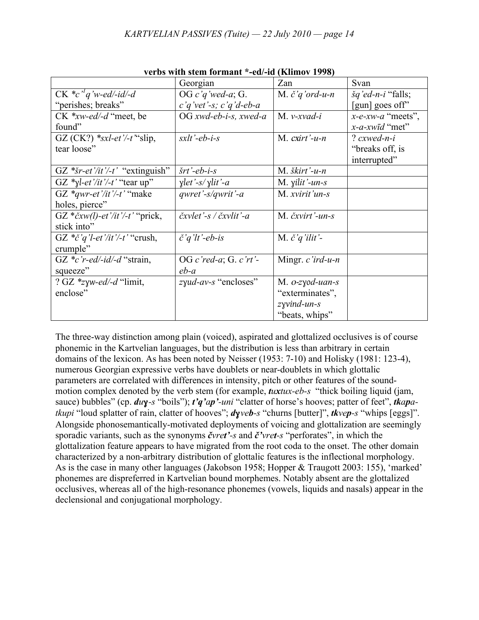| verds with stein formant "-ed/-id (Kinnov 1998) |                                             |                                |                              |  |  |
|-------------------------------------------------|---------------------------------------------|--------------------------------|------------------------------|--|--|
|                                                 | Georgian                                    | Zan                            | Svan                         |  |  |
| $CK *c'q'w$ -ed/-id/-d                          | OG c'q'wed-a; G.                            | M. $\check{c}$ 'q'ord-u-n      | $\check{g}q'ed$ -n-i "falls; |  |  |
| "perishes; breaks"                              | $c'q'$ vet'-s; $c'q'$ d-eb-a                |                                | [gun] goes off"              |  |  |
| $CK$ *xw-ed/-d "meet, be                        | $OG$ xwd-eb-i-s, xwed-a                     | $M. v-xvad-i$                  | $x$ -e-xw-a "meets",         |  |  |
| found"                                          |                                             |                                | $x$ -a-xwid "met"            |  |  |
| GZ (CK?) *sxl-et'/-t'slip,                      | $s$ <i>xlt</i> '-eb-i-s                     | M. $c$ xirt'-u-n               | ? $cx$ wed-n-i               |  |  |
| tear loose"                                     |                                             |                                | "breaks off, is              |  |  |
|                                                 |                                             |                                | interrupted"                 |  |  |
| GZ * $\zeta r$ -et'/it'/-t' "extinguish"        | $\check{s}rt$ '-eb-i-s                      | $M.$ škirt'-u-n                |                              |  |  |
| GZ *yl-et'/it'/-t' "tear up"                    | $\chi$ let'-s/ $\chi$ lit'-a                | M. $\gamma$ <i>ilit'</i> -un-s |                              |  |  |
| GZ *qwr-et'/it'/-t' "make                       | $qwret'$ -s/qwrit'-a                        | M. xvirit'un-s                 |                              |  |  |
| holes, pierce"                                  |                                             |                                |                              |  |  |
| GZ * $\check{c}xw(l)$ -et'/it'/-t' "prick,      | $\check{c}$ xvlet'-s / $\check{c}$ xvlit'-a | M. čxvirt'-un-s                |                              |  |  |
| stick into"                                     |                                             |                                |                              |  |  |
| GZ $* \check{c} q' l - et' /it' / -t'$ "crush,  | $\check{c}$ 'q'lt'-eb-is                    | M. $\check{c}$ 'q'ilit'-       |                              |  |  |
| crumple"                                        |                                             |                                |                              |  |  |
| GZ $\ast c$ 'r-ed/-id/-d "strain,               | OG c'red-a; G. c'rt'-                       | Mingr. $c$ 'ird-u-n            |                              |  |  |
| squeeze"                                        | $eb-a$                                      |                                |                              |  |  |
| ? GZ *zyw-ed/-d "limit,                         | $zyud-av-s$ "encloses"                      | M. $o$ -zyod-uan-s             |                              |  |  |
| enclose"                                        |                                             | "exterminates",                |                              |  |  |
|                                                 |                                             | $zyvind-un-s$                  |                              |  |  |
|                                                 |                                             | "beats, whips"                 |                              |  |  |

**verbs with stem formant \*-ed/-id (Klimov 1998)**

The three-way distinction among plain (voiced), aspirated and glottalized occlusives is of course phonemic in the Kartvelian languages, but the distribution is less than arbitrary in certain domains of the lexicon. As has been noted by Neisser (1953: 7-10) and Holisky (1981: 123-4), numerous Georgian expressive verbs have doublets or near-doublets in which glottalic parameters are correlated with differences in intensity, pitch or other features of the soundmotion complex denoted by the verb stem (for example, *tuxtux-eb-s* "thick boiling liquid (jam, sauce) bubbles" (cp. *duɣ-s* "boils"); *t'q'ap'-uni* "clatter of horse's hooves; patter of feet", *tkapatkupi* "loud splatter of rain, clatter of hooves"; *dɣveb-s* "churns [butter]", *tkvep-s* "whips [eggs]". Alongside phonosemantically-motivated deployments of voicing and glottalization are seemingly sporadic variants, such as the synonyms *čvret'-s* and *č'vret-s* "perforates", in which the glottalization feature appears to have migrated from the root coda to the onset. The other domain characterized by a non-arbitrary distribution of glottalic features is the inflectional morphology. As is the case in many other languages (Jakobson 1958; Hopper & Traugott 2003: 155), 'marked' phonemes are dispreferred in Kartvelian bound morphemes. Notably absent are the glottalized occlusives, whereas all of the high-resonance phonemes (vowels, liquids and nasals) appear in the declensional and conjugational morphology.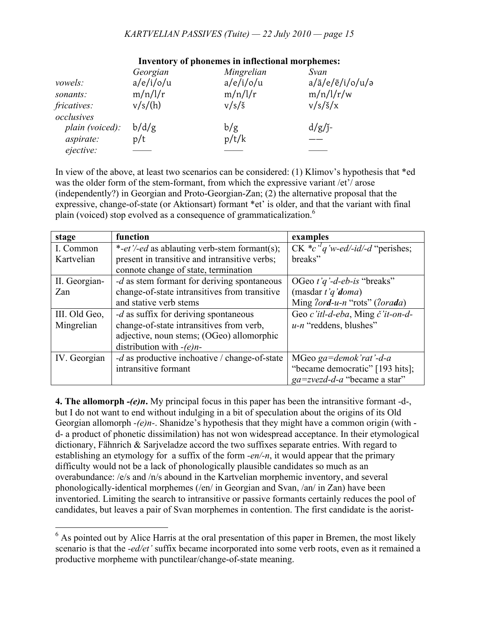### *KARTVELIAN PASSIVES (Tuite) — 22 July 2010 — page 15*

|                           | Georgian  | Mingrelian      | Svan                               |
|---------------------------|-----------|-----------------|------------------------------------|
| <i>vowels:</i>            | a/e/i/o/u | a/e/i/o/u       | $a/\bar{a}/e/\bar{e}/i/\sigma/u/a$ |
| sonants:                  | m/n/l/r   | m/n/l/r         | m/n/l/r/w                          |
| fricatives:<br>occlusives | v/s/(h)   | $v/s/\check{s}$ | $v/s/\check{s}/x$                  |
| plain (voiced):           | b/d/g     | b/g             | $d/g/j$ -                          |
| aspirate:<br>ejective:    | p/t       | p/t/k           |                                    |

#### **Inventory of phonemes in inflectional morphemes:**

In view of the above, at least two scenarios can be considered: (1) Klimov's hypothesis that \*ed was the older form of the stem-formant, from which the expressive variant /et'/ arose (independently?) in Georgian and Proto-Georgian-Zan; (2) the alternative proposal that the expressive, change-of-state (or Aktionsart) formant \*et' is older, and that the variant with final plain (voiced) stop evolved as a consequence of grammaticalization.<sup>6</sup>

| stage         | function                                              | examples                                   |
|---------------|-------------------------------------------------------|--------------------------------------------|
| I. Common     | *-et'/-ed as ablauting verb-stem formant(s);          | CK $\ast c$ 'd' w-ed/-id/-d "perishes;     |
| Kartvelian    | present in transitive and intransitive verbs;         | breaks"                                    |
|               | connote change of state, termination                  |                                            |
| II. Georgian- | - <i>d</i> as stem formant for deriving spontaneous   | OGeo t'q'-d-eb-is "breaks"                 |
| Zan           | change-of-state intransitives from transitive         | (masdar $t'q'doma$ )                       |
|               | and stative verb stems                                | Ming $2ord-u-n$ "rots" ( $2orada$ )        |
| III. Old Geo, | -d as suffix for deriving spontaneous                 | Geo c'itl-d-eba, Ming č'it-on-d-           |
| Mingrelian    | change-of-state intransitives from verb,              | $u$ -n "reddens, blushes"                  |
|               | adjective, noun stems; (OGeo) allomorphic             |                                            |
|               | distribution with $-(e)n-$                            |                                            |
| IV. Georgian  | - <i>d</i> as productive inchoative / change-of-state | MGeo ga=demok'rat'-d-a                     |
|               | intransitive formant                                  | "became democratic" [193 hits];            |
|               |                                                       | $ga = z \vee z \vee d - a$ "became a star" |

**4. The allomorph** *-(e)n***.** My principal focus in this paper has been the intransitive formant -d-, but I do not want to end without indulging in a bit of speculation about the origins of its Old Georgian allomorph *-(e)n-*. Shanidze's hypothesis that they might have a common origin (with d- a product of phonetic dissimilation) has not won widespread acceptance. In their etymological dictionary, Fähnrich & Sarjveladze accord the two suffixes separate entries. With regard to establishing an etymology for a suffix of the form *-en/-n*, it would appear that the primary difficulty would not be a lack of phonologically plausible candidates so much as an overabundance: /e/s and /n/s abound in the Kartvelian morphemic inventory, and several phonologically-identical morphemes (/en/ in Georgian and Svan, /an/ in Zan) have been inventoried. Limiting the search to intransitive or passive formants certainly reduces the pool of candidates, but leaves a pair of Svan morphemes in contention. The first candidate is the aorist-

 $<sup>6</sup>$  As pointed out by Alice Harris at the oral presentation of this paper in Bremen, the most likely</sup> scenario is that the *-ed/et'* suffix became incorporated into some verb roots, even as it remained a productive morpheme with punctilear/change-of-state meaning.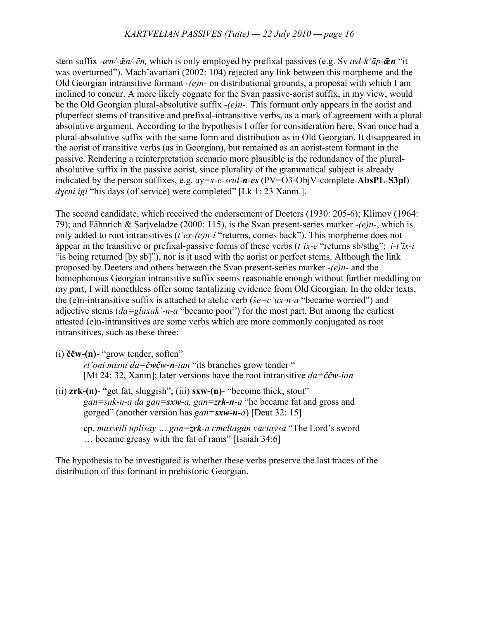stem suffix *-æn/-ǣn/-ēn,* which is only employed by prefixal passives (e.g. Sv *æd-k'āp-ǣn* "it was overturned"). Mach'avariani (2002: 104) rejected any link between this morpheme and the Old Georgian intransitive formant *-(e)n-* on distributional grounds, a proposal with which I am inclined to concur. A more likely cognate for the Svan passive-aorist suffix, in my view, would be the Old Georgian plural-absolutive suffix *-(e)n-*. This formant only appears in the aorist and pluperfect stems of transitive and prefixal-intransitive verbs, as a mark of agreement with a plural absolutive argument. According to the hypothesis I offer for consideration here, Svan once had a plural-absolutive suffix with the same form and distribution as in Old Georgian. It disappeared in the aorist of transitive verbs (as in Georgian), but remained as an aorist-stem formant in the passive. Rendering a reinterpretation scenario more plausible is the redundancy of the pluralabsolutive suffix in the passive aorist, since plurality of the grammatical subject is already indicated by the person suffixes, e.g. *aɣ=x-e-srul-n-es* (PV=O3-ObjV-complete-**AbsPL**-**S3pl**) *dyeni igi* "his days (of service) were completed" [Lk 1: 23 Xanm.].

The second candidate, which received the endorsement of Deeters (1930: 205-6); Klimov (1964: 79); and Fähnrich & Sarjveladze (2000: 115), is the Svan present-series marker *-(e)n-*, which is only added to root intransitives (*t'ex-(e)n-i* "returns, comes back"). This morpheme does not appear in the transitive or prefixal-passive forms of these verbs (*t'ix-e* "returns sb/sthg"; *i-t'īx-i* "is being returned [by sb]"), nor is it used with the aorist or perfect stems. Although the link proposed by Deeters and others between the Svan present-series marker *-(e)n-* and the homophonous Georgian intransitive suffix seems reasonable enough without further meddling on my part, I will nonethless offer some tantalizing evidence from Old Georgian. In the older texts, the (e)n-intransitive suffix is attached to atelic verb (*še=c'ux-n-a* "became worried") and adjective stems (*da=glaxak'-n-a* "became poor") for the most part. But among the earliest attested (e)n-intransitives are some verbs which are more commonly conjugated as root intransitives, such as these three:

(i) **ččw-(n)**- "grow tender, soften"

*rt'oni misni da=čwčw-n-ian* "its branches grow tender " [Mt 24: 32, Xanm]; later versions have the root intransitive *da=ččw-ian*

- (ii) **zrk-(n)** "get fat, sluggish"; (iii) **sxw-(n)** "become thick, stout" *gan=suk-n-a da gan=sxw-a, gan=zrk-n-a* "he became fat and gross and gorged" (another version has *gan=sxw-n-a*) [Deut 32: 15]
	- cp. *maxwili uplisay … gan=zrk-a cmeltagan vactaysa* "The Lord's sword … became greasy with the fat of rams" [Isaiah 34:6]

The hypothesis to be investigated is whether these verbs preserve the last traces of the distribution of this formant in prehistoric Georgian.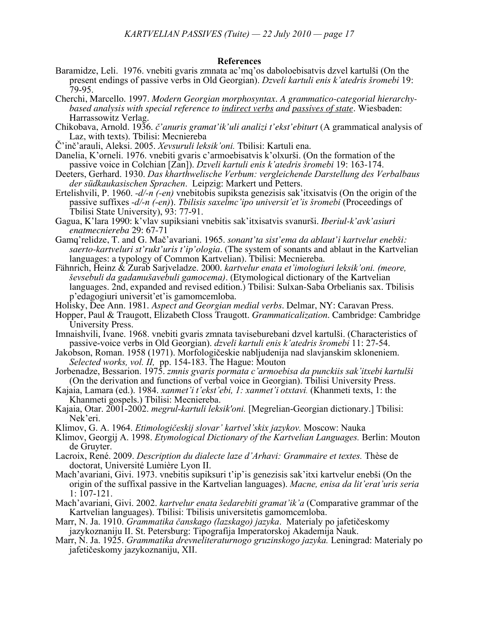#### **References**

- Baramidze, Leli. 1976. vnebiti gvaris zmnata ac'mq'os daboloebisatvis dzvel kartulši (On the present endings of passive verbs in Old Georgian). *Dzveli kartuli enis k'atedris šromebi* 19: 79-95.
- Cherchi, Marcello. 1997. *Modern Georgian morphosyntax. A grammatico-categorial hierarchybased analysis with special reference to indirect verbs and passives of state.* Wiesbaden: Harrassowitz Verlag.
- Chikobava, Arnold. 1936. *č'anuris gramat'ik'uli analizi t'ekst'ebiturt* (A grammatical analysis of Laz, with texts). Tbilisi: Mecniereba
- Č'inč'arauli, Aleksi. 2005. *Xevsuruli leksik'oni.* Tbilisi: Kartuli ena.
- Danelia, K'orneli. 1976. vnebiti gvaris c'armoebisatvis k'olxurši. (On the formation of the passive voice in Colchian [Zan]). *Dzveli kartuli enis k'atedris šromebi* 19: 163-174.
- Deeters, Gerhard. 1930. *Das kharthwelische Verbum: vergleichende Darstellung des Verbalbaus der südkaukasischen Sprachen*. Leipzig: Markert und Petters.
- Ertelishvili, P. 1960. *-d/-n (-en)* vnebitobis supiksta genezisis sak'itxisatvis (On the origin of the passive suffixes *-d/-n (-en)*). *Tbilisis saxelmc'ipo universit'et'is šromebi* (Proceedings of Tbilisi State University), 93: 77-91.
- Gagua, K'lara 1990: k'vlav supiksiani vnebitis sak'itxisatvis svanurši. *Iberiul-k'avk'asiuri enatmecniereba* 29: 67-71
- Gamq'relidze, T. and G. Mač'avariani. 1965. *sonant'ta sist'ema da ablaut'i kartvelur enebši: saerto-kartveluri st'rukt'uris t'ip'ologia.* (The system of sonants and ablaut in the Kartvelian languages: a typology of Common Kartvelian). Tbilisi: Mecniereba.
- Fähnrich, Heinz & Zurab Sarjveladze. 2000. *kartvelur enata et'imologiuri leksik'oni. (meore, ševsebuli da gadamušavebuli gamocema)*. (Etymological dictionary of the Kartvelian languages. 2nd, expanded and revised edition.) Tbilisi: Sulxan-Saba Orbelianis sax. Tbilisis p'edagogiuri universit'et'is gamomcemloba.
- Holisky, Dee Ann. 1981. *Aspect and Georgian medial verbs.* Delmar, NY: Caravan Press.
- Hopper, Paul & Traugott, Elizabeth Closs Traugott. *Grammaticalization*. Cambridge: Cambridge University Press.
- Imnaishvili, Ivane. 1968. vnebiti gvaris zmnata taviseburebani dzvel kartulši. (Characteristics of passive-voice verbs in Old Georgian). *dzveli kartuli enis k'atedris šromebi* 11: 27-54.
- Jakobson, Roman. 1958 (1971). Morfologičeskie nabljudenija nad slavjanskim skloneniem. *Selected works, vol. II,* pp. 154-183. The Hague: Mouton
- Jorbenadze, Bessarion. 1975. *zmnis gvaris pormata c'armoebisa da punckiis sak'itxebi kartulši*  (On the derivation and functions of verbal voice in Georgian). Tbilisi University Press.
- Kajaia, Lamara (ed.). 1984. *xanmet'i t'ekst'ebi, 1: xanmet'i otxtavi.* (Khanmeti texts, 1: the Khanmeti gospels.) Tbilisi: Mecniereba.
- Kajaia, Otar. 2001-2002. *megrul-kartuli leksik'oni.* [Megrelian-Georgian dictionary.] Tbilisi: Nek'eri.
- Klimov, G. A. 1964. *Etimologičeskij slovar' kartvel'skix jazykov.* Moscow: Nauka
- Klimov, Georgij A. 1998. *Etymological Dictionary of the Kartvelian Languages.* Berlin: Mouton de Gruyter.
- Lacroix, René. 2009. *Description du dialecte laze d'Arhavi: Grammaire et textes.* Thèse de doctorat, Université Lumière Lyon II.
- Mach'avariani, Givi. 1973. vnebitis supiksuri t'ip'is genezisis sak'itxi kartvelur enebši (On the origin of the suffixal passive in the Kartvelian languages). *Macne, enisa da lit'erat'uris seria* 1: 107-121.
- Mach'avariani, Givi. 2002. *kartvelur enata šedarebiti gramat'ik'a* (Comparative grammar of the Kartvelian languages). Tbilisi: Tbilisis universitetis gamomcemloba.
- Marr, N. Ja. 1910. *Grammatika čanskago (lazskago) jazyka*. Materialy po jafetičeskomy
- jazykoznaniju II. St. Petersburg: Tipografija Imperatorskoj Akademija Nauk. Marr, N. Ja. 1925. *Grammatika drevneliteraturnogo gruzinskogo jazyka.* Leningrad: Materialy po jafetičeskomy jazykoznaniju, XII.